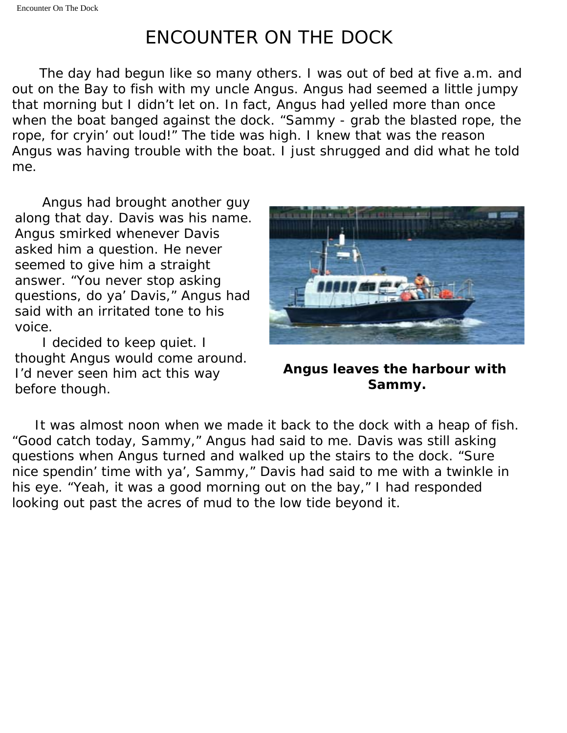## ENCOUNTER ON THE DOCK

 The day had begun like so many others. I was out of bed at five a.m. and out on the Bay to fish with my uncle Angus. Angus had seemed a little jumpy that morning but I didn't let on. In fact, Angus had yelled more than once when the boat banged against the dock. "Sammy - grab the blasted rope, the rope, for cryin' out loud!" The tide was high. I knew that was the reason Angus was having trouble with the boat. I just shrugged and did what he told me.

 Angus had brought another guy along that day. Davis was his name. Angus smirked whenever Davis asked him a question. He never seemed to give him a straight answer. "You never stop asking questions, do ya' Davis," Angus had said with an irritated tone to his voice.

 I decided to keep quiet. I thought Angus would come around. I'd never seen him act this way before though.



**Angus leaves the harbour with Sammy.**

 It was almost noon when we made it back to the dock with a heap of fish. "Good catch today, Sammy," Angus had said to me. Davis was still asking questions when Angus turned and walked up the stairs to the dock. "Sure nice spendin' time with ya', Sammy," Davis had said to me with a twinkle in his eye. "Yeah, it was a good morning out on the bay," I had responded looking out past the acres of mud to the low tide beyond it.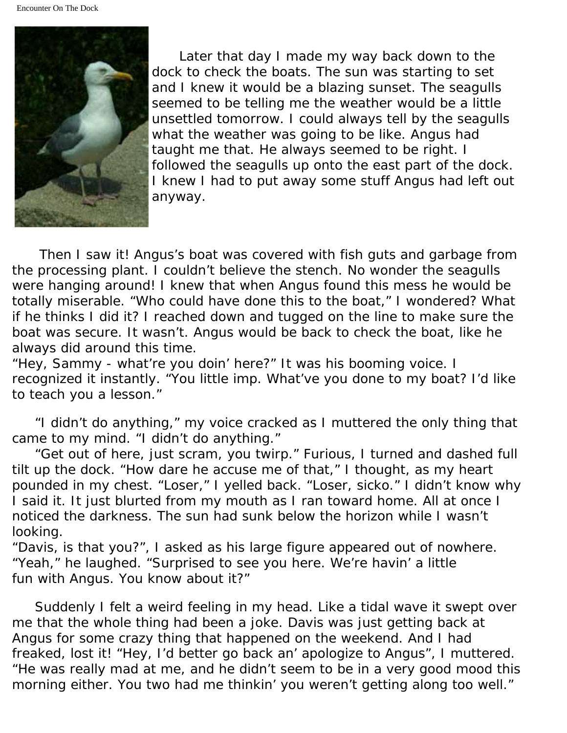

 Later that day I made my way back down to the dock to check the boats. The sun was starting to set and I knew it would be a blazing sunset. The seagulls seemed to be telling me the weather would be a little unsettled tomorrow. I could always tell by the seagulls what the weather was going to be like. Angus had taught me that. He always seemed to be right. I followed the seagulls up onto the east part of the dock. I knew I had to put away some stuff Angus had left out anyway.

 Then I saw it! Angus's boat was covered with fish guts and garbage from the processing plant. I couldn't believe the stench. No wonder the seagulls were hanging around! I knew that when Angus found this mess he would be totally miserable. "Who could have done this to the boat," I wondered? What if he thinks I did it? I reached down and tugged on the line to make sure the boat was secure. It wasn't. Angus would be back to check the boat, like he always did around this time.

"Hey, Sammy - what're you doin' here?" It was his booming voice. I recognized it instantly. "You little imp. What've you done to my boat? I'd like to teach you a lesson."

 "I didn't do anything," my voice cracked as I muttered the only thing that came to my mind. "I didn't do anything."

 "Get out of here, just scram, you twirp." Furious, I turned and dashed full tilt up the dock. "How dare he accuse me of that," I thought, as my heart pounded in my chest. "Loser," I yelled back. "Loser, sicko." I didn't know why I said it. It just blurted from my mouth as I ran toward home. All at once I noticed the darkness. The sun had sunk below the horizon while I wasn't looking.

"Davis, is that you?", I asked as his large figure appeared out of nowhere. "Yeah," he laughed. "Surprised to see you here. We're havin' a little fun with Angus. You know about it?"

 Suddenly I felt a weird feeling in my head. Like a tidal wave it swept over me that the whole thing had been a joke. Davis was just getting back at Angus for some crazy thing that happened on the weekend. And I had freaked, lost it! "Hey, I'd better go back an' apologize to Angus", I muttered. "He was really mad at me, and he didn't seem to be in a very good mood this morning either. You two had me thinkin' you weren't getting along too well."